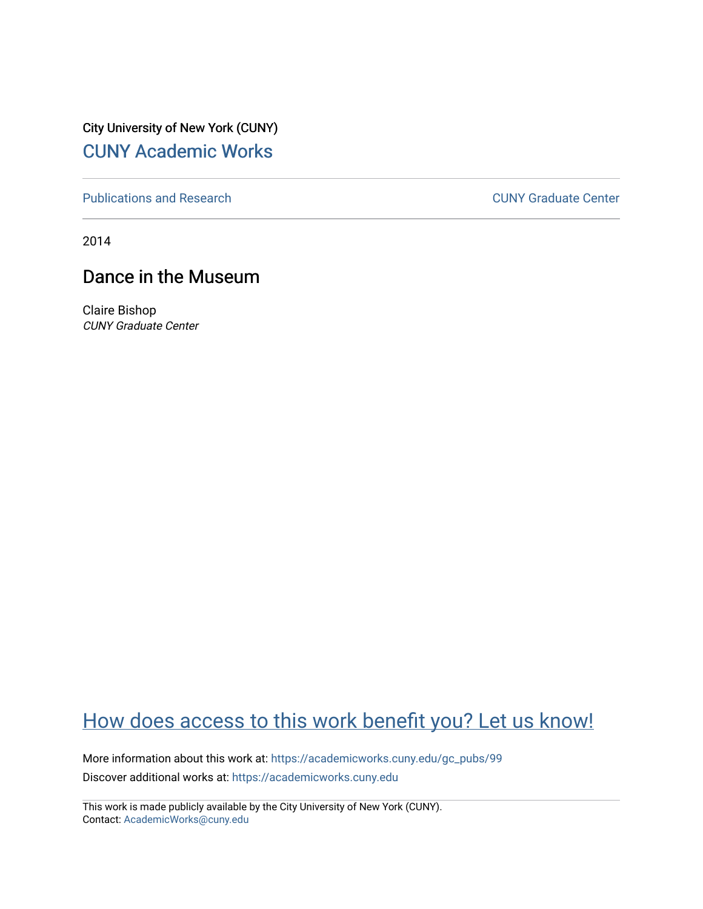City University of New York (CUNY) [CUNY Academic Works](https://academicworks.cuny.edu/) 

[Publications and Research](https://academicworks.cuny.edu/gc_pubs) [CUNY Graduate Center](https://academicworks.cuny.edu/gc) 

2014

## Dance in the Museum

Claire Bishop CUNY Graduate Center

# [How does access to this work benefit you? Let us know!](http://ols.cuny.edu/academicworks/?ref=https://academicworks.cuny.edu/gc_pubs/99)

More information about this work at: [https://academicworks.cuny.edu/gc\\_pubs/99](https://academicworks.cuny.edu/gc_pubs/99)  Discover additional works at: [https://academicworks.cuny.edu](https://academicworks.cuny.edu/?)

This work is made publicly available by the City University of New York (CUNY). Contact: [AcademicWorks@cuny.edu](mailto:AcademicWorks@cuny.edu)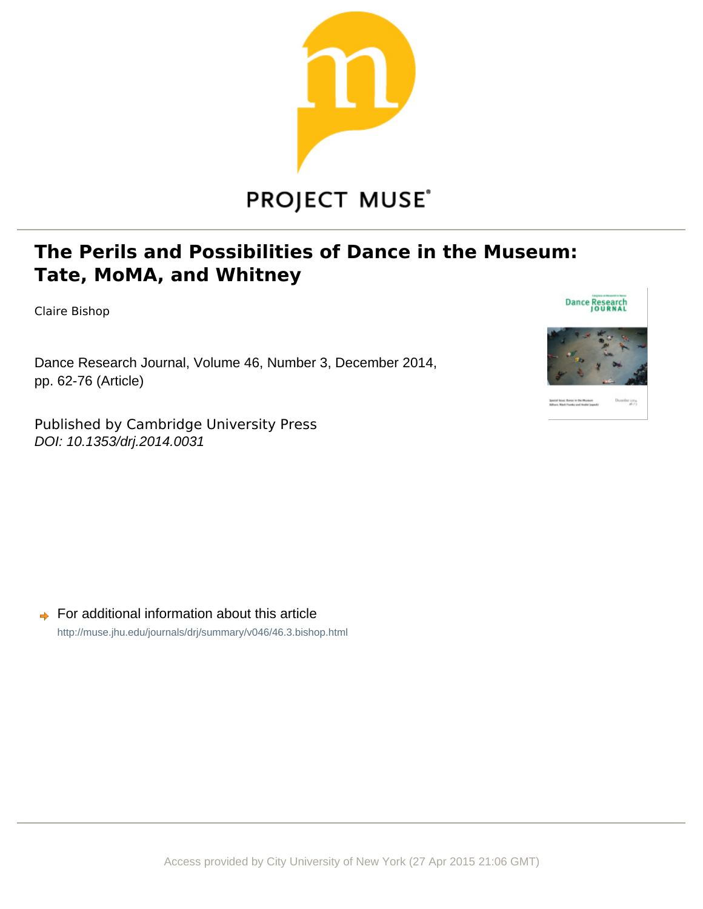

# **PROJECT MUSE®**

# **The Perils and Possibilities of Dance in the Museum: Tate, MoMA, and Whitney**

Claire Bishop

Dance Research Journal, Volume 46, Number 3, December 2014, pp. 62-76 (Article)

Published by Cambridge University Press DOI: 10.1353/drj.2014.0031



 $\rightarrow$  For additional information about this article <http://muse.jhu.edu/journals/drj/summary/v046/46.3.bishop.html>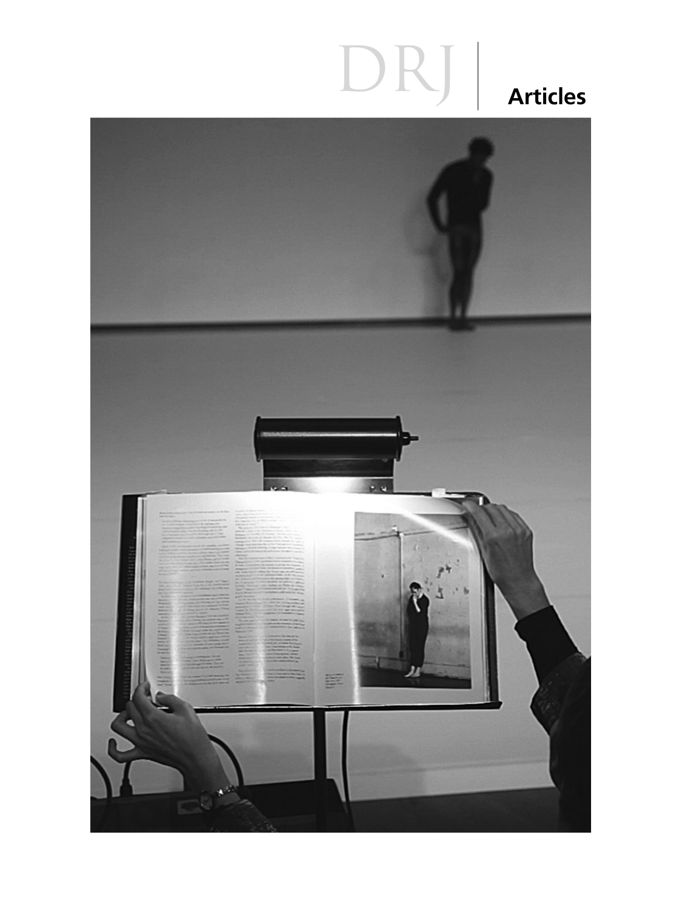# DRJ Articles

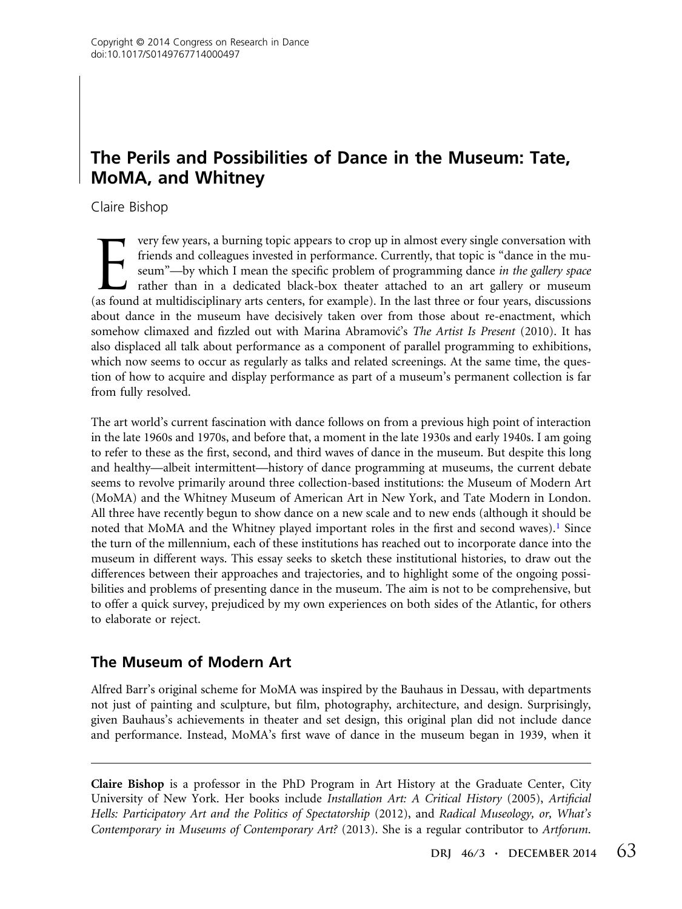### The Perils and Possibilities of Dance in the Museum: Tate, MoMA, and Whitney

Claire Bishop

very few years, a burning topic appears to crop up in almost every single conversation with<br>friends and colleagues invested in performance. Currently, that topic is "dance in the mu-<br>seum"—by which I mean the specific prob friends and colleagues invested in performance. Currently, that topic is "dance in the museum"-by which I mean the specific problem of programming dance in the gallery space rather than in a dedicated black-box theater attached to an art gallery or museum (as found at multidisciplinary arts centers, for example). In the last three or four years, discussions about dance in the museum have decisively taken over from those about re-enactment, which somehow climaxed and fizzled out with Marina Abramović's The Artist Is Present (2010). It has also displaced all talk about performance as a component of parallel programming to exhibitions, which now seems to occur as regularly as talks and related screenings. At the same time, the question of how to acquire and display performance as part of a museum's permanent collection is far from fully resolved.

The art world's current fascination with dance follows on from a previous high point of interaction in the late 1960s and 1970s, and before that, a moment in the late 1930s and early 1940s. I am going to refer to these as the first, second, and third waves of dance in the museum. But despite this long and healthy—albeit intermittent—history of dance programming at museums, the current debate seems to revolve primarily around three collection-based institutions: the Museum of Modern Art (MoMA) and the Whitney Museum of American Art in New York, and Tate Modern in London. All three have recently begun to show dance on a new scale and to new ends (although it should be noted that MoMA and the Whitney played important roles in the first and second waves).<sup>1</sup> Since the turn of the millennium, each of these institutions has reached out to incorporate dance into the museum in different ways. This essay seeks to sketch these institutional histories, to draw out the differences between their approaches and trajectories, and to highlight some of the ongoing possibilities and problems of presenting dance in the museum. The aim is not to be comprehensive, but to offer a quick survey, prejudiced by my own experiences on both sides of the Atlantic, for others to elaborate or reject.

#### The Museum of Modern Art

Alfred Barr's original scheme for MoMA was inspired by the Bauhaus in Dessau, with departments not just of painting and sculpture, but film, photography, architecture, and design. Surprisingly, given Bauhaus's achievements in theater and set design, this original plan did not include dance and performance. Instead, MoMA's first wave of dance in the museum began in 1939, when it

Claire Bishop is a professor in the PhD Program in Art History at the Graduate Center, City University of New York. Her books include Installation Art: A Critical History (2005), Artificial Hells: Participatory Art and the Politics of Spectatorship (2012), and Radical Museology, or, What's Contemporary in Museums of Contemporary Art? (2013). She is a regular contributor to Artforum.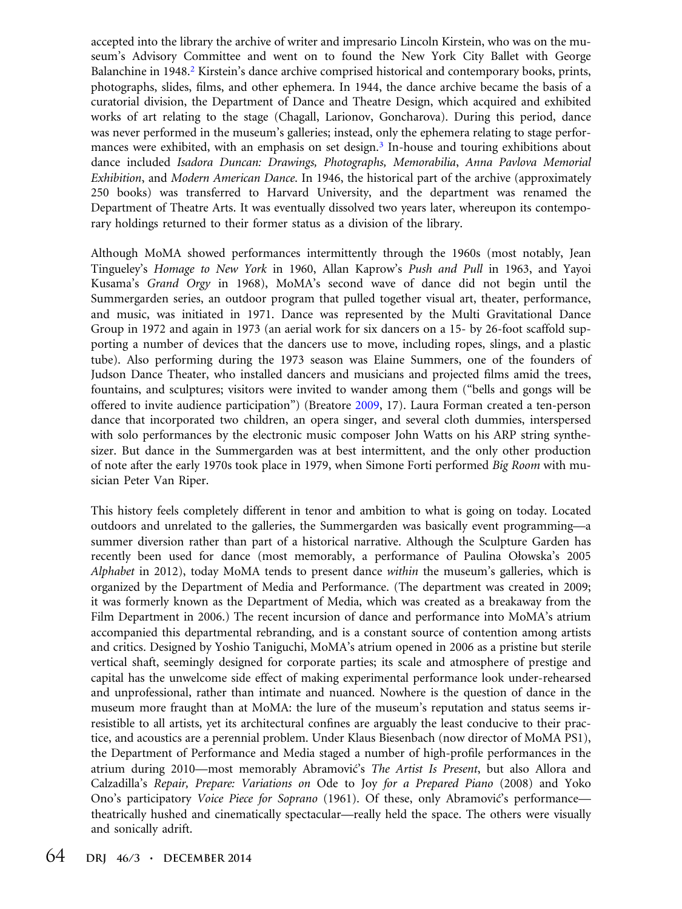accepted into the library the archive of writer and impresario Lincoln Kirstein, who was on the museum's Advisory Committee and went on to found the New York City Ballet with George Balanchine in 1948.<sup>2</sup> Kirstein's dance archive comprised historical and contemporary books, prints, photographs, slides, films, and other ephemera. In 1944, the dance archive became the basis of a curatorial division, the Department of Dance and Theatre Design, which acquired and exhibited works of art relating to the stage (Chagall, Larionov, Goncharova). During this period, dance was never performed in the museum's galleries; instead, only the ephemera relating to stage performances were exhibited, with an emphasis on set design.<sup>3</sup> In-house and touring exhibitions about dance included Isadora Duncan: Drawings, Photographs, Memorabilia, Anna Pavlova Memorial Exhibition, and Modern American Dance. In 1946, the historical part of the archive (approximately 250 books) was transferred to Harvard University, and the department was renamed the Department of Theatre Arts. It was eventually dissolved two years later, whereupon its contemporary holdings returned to their former status as a division of the library.

Although MoMA showed performances intermittently through the 1960s (most notably, Jean Tingueley's Homage to New York in 1960, Allan Kaprow's Push and Pull in 1963, and Yayoi Kusama's Grand Orgy in 1968), MoMA's second wave of dance did not begin until the Summergarden series, an outdoor program that pulled together visual art, theater, performance, and music, was initiated in 1971. Dance was represented by the Multi Gravitational Dance Group in 1972 and again in 1973 (an aerial work for six dancers on a 15- by 26-foot scaffold supporting a number of devices that the dancers use to move, including ropes, slings, and a plastic tube). Also performing during the 1973 season was Elaine Summers, one of the founders of Judson Dance Theater, who installed dancers and musicians and projected films amid the trees, fountains, and sculptures; visitors were invited to wander among them ("bells and gongs will be offered to invite audience participation") (Breatore 2009, 17). Laura Forman created a ten-person dance that incorporated two children, an opera singer, and several cloth dummies, interspersed with solo performances by the electronic music composer John Watts on his ARP string synthesizer. But dance in the Summergarden was at best intermittent, and the only other production of note after the early 1970s took place in 1979, when Simone Forti performed Big Room with musician Peter Van Riper.

This history feels completely different in tenor and ambition to what is going on today. Located outdoors and unrelated to the galleries, the Summergarden was basically event programming—a summer diversion rather than part of a historical narrative. Although the Sculpture Garden has recently been used for dance (most memorably, a performance of Paulina Ołowska's 2005 Alphabet in 2012), today MoMA tends to present dance within the museum's galleries, which is organized by the Department of Media and Performance. (The department was created in 2009; it was formerly known as the Department of Media, which was created as a breakaway from the Film Department in 2006.) The recent incursion of dance and performance into MoMA's atrium accompanied this departmental rebranding, and is a constant source of contention among artists and critics. Designed by Yoshio Taniguchi, MoMA's atrium opened in 2006 as a pristine but sterile vertical shaft, seemingly designed for corporate parties; its scale and atmosphere of prestige and capital has the unwelcome side effect of making experimental performance look under-rehearsed and unprofessional, rather than intimate and nuanced. Nowhere is the question of dance in the museum more fraught than at MoMA: the lure of the museum's reputation and status seems irresistible to all artists, yet its architectural confines are arguably the least conducive to their practice, and acoustics are a perennial problem. Under Klaus Biesenbach (now director of MoMA PS1), the Department of Performance and Media staged a number of high-profile performances in the atrium during 2010—most memorably Abramović's The Artist Is Present, but also Allora and Calzadilla's Repair, Prepare: Variations on Ode to Joy for a Prepared Piano (2008) and Yoko Ono's participatory *Voice Piece for Soprano* (1961). Of these, only Abramovic's performance theatrically hushed and cinematically spectacular—really held the space. The others were visually and sonically adrift.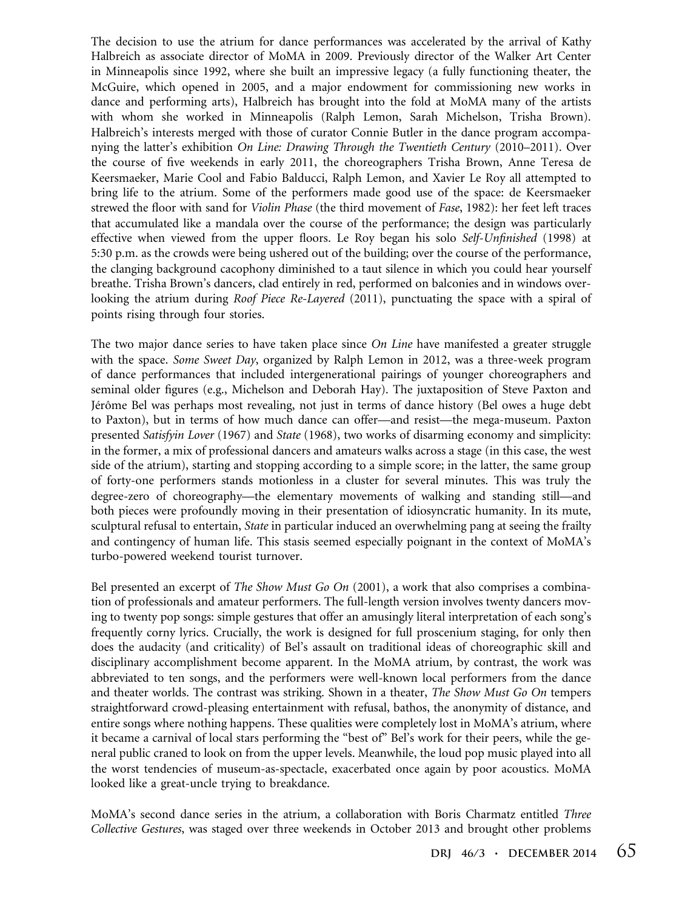The decision to use the atrium for dance performances was accelerated by the arrival of Kathy Halbreich as associate director of MoMA in 2009. Previously director of the Walker Art Center in Minneapolis since 1992, where she built an impressive legacy (a fully functioning theater, the McGuire, which opened in 2005, and a major endowment for commissioning new works in dance and performing arts), Halbreich has brought into the fold at MoMA many of the artists with whom she worked in Minneapolis (Ralph Lemon, Sarah Michelson, Trisha Brown). Halbreich's interests merged with those of curator Connie Butler in the dance program accompanying the latter's exhibition On Line: Drawing Through the Twentieth Century (2010–2011). Over the course of five weekends in early 2011, the choreographers Trisha Brown, Anne Teresa de Keersmaeker, Marie Cool and Fabio Balducci, Ralph Lemon, and Xavier Le Roy all attempted to bring life to the atrium. Some of the performers made good use of the space: de Keersmaeker strewed the floor with sand for Violin Phase (the third movement of Fase, 1982): her feet left traces that accumulated like a mandala over the course of the performance; the design was particularly effective when viewed from the upper floors. Le Roy began his solo Self-Unfinished (1998) at 5:30 p.m. as the crowds were being ushered out of the building; over the course of the performance, the clanging background cacophony diminished to a taut silence in which you could hear yourself breathe. Trisha Brown's dancers, clad entirely in red, performed on balconies and in windows overlooking the atrium during Roof Piece Re-Layered (2011), punctuating the space with a spiral of points rising through four stories.

The two major dance series to have taken place since  $On$  Line have manifested a greater struggle with the space. Some Sweet Day, organized by Ralph Lemon in 2012, was a three-week program of dance performances that included intergenerational pairings of younger choreographers and seminal older figures (e.g., Michelson and Deborah Hay). The juxtaposition of Steve Paxton and Jérôme Bel was perhaps most revealing, not just in terms of dance history (Bel owes a huge debt to Paxton), but in terms of how much dance can offer—and resist—the mega-museum. Paxton presented Satisfyin Lover (1967) and State (1968), two works of disarming economy and simplicity: in the former, a mix of professional dancers and amateurs walks across a stage (in this case, the west side of the atrium), starting and stopping according to a simple score; in the latter, the same group of forty-one performers stands motionless in a cluster for several minutes. This was truly the degree-zero of choreography—the elementary movements of walking and standing still—and both pieces were profoundly moving in their presentation of idiosyncratic humanity. In its mute, sculptural refusal to entertain, State in particular induced an overwhelming pang at seeing the frailty and contingency of human life. This stasis seemed especially poignant in the context of MoMA's turbo-powered weekend tourist turnover.

Bel presented an excerpt of *The Show Must Go On* (2001), a work that also comprises a combination of professionals and amateur performers. The full-length version involves twenty dancers moving to twenty pop songs: simple gestures that offer an amusingly literal interpretation of each song's frequently corny lyrics. Crucially, the work is designed for full proscenium staging, for only then does the audacity (and criticality) of Bel's assault on traditional ideas of choreographic skill and disciplinary accomplishment become apparent. In the MoMA atrium, by contrast, the work was abbreviated to ten songs, and the performers were well-known local performers from the dance and theater worlds. The contrast was striking. Shown in a theater, The Show Must Go On tempers straightforward crowd-pleasing entertainment with refusal, bathos, the anonymity of distance, and entire songs where nothing happens. These qualities were completely lost in MoMA's atrium, where it became a carnival of local stars performing the "best of" Bel's work for their peers, while the general public craned to look on from the upper levels. Meanwhile, the loud pop music played into all the worst tendencies of museum-as-spectacle, exacerbated once again by poor acoustics. MoMA looked like a great-uncle trying to breakdance.

MoMA's second dance series in the atrium, a collaboration with Boris Charmatz entitled Three Collective Gestures, was staged over three weekends in October 2013 and brought other problems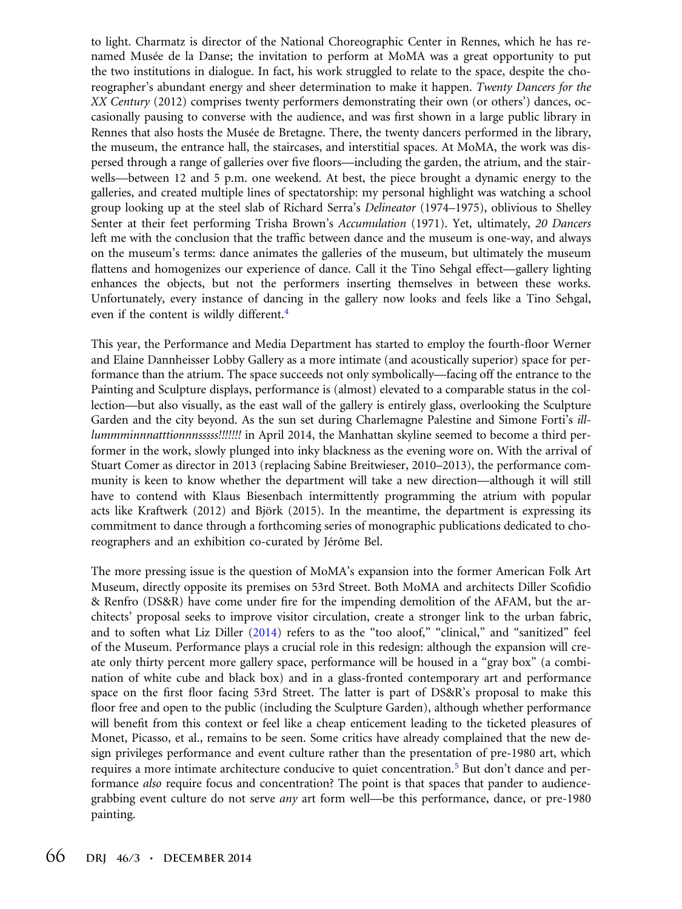to light. Charmatz is director of the National Choreographic Center in Rennes, which he has renamed Musée de la Danse; the invitation to perform at MoMA was a great opportunity to put the two institutions in dialogue. In fact, his work struggled to relate to the space, despite the choreographer's abundant energy and sheer determination to make it happen. Twenty Dancers for the XX Century (2012) comprises twenty performers demonstrating their own (or others') dances, occasionally pausing to converse with the audience, and was first shown in a large public library in Rennes that also hosts the Musée de Bretagne. There, the twenty dancers performed in the library, the museum, the entrance hall, the staircases, and interstitial spaces. At MoMA, the work was dispersed through a range of galleries over five floors—including the garden, the atrium, and the stairwells—between 12 and 5 p.m. one weekend. At best, the piece brought a dynamic energy to the galleries, and created multiple lines of spectatorship: my personal highlight was watching a school group looking up at the steel slab of Richard Serra's Delineator (1974–1975), oblivious to Shelley Senter at their feet performing Trisha Brown's Accumulation (1971). Yet, ultimately, 20 Dancers left me with the conclusion that the traffic between dance and the museum is one-way, and always on the museum's terms: dance animates the galleries of the museum, but ultimately the museum flattens and homogenizes our experience of dance. Call it the Tino Sehgal effect—gallery lighting enhances the objects, but not the performers inserting themselves in between these works. Unfortunately, every instance of dancing in the gallery now looks and feels like a Tino Sehgal, even if the content is wildly different.<sup>4</sup>

This year, the Performance and Media Department has started to employ the fourth-floor Werner and Elaine Dannheisser Lobby Gallery as a more intimate (and acoustically superior) space for performance than the atrium. The space succeeds not only symbolically—facing off the entrance to the Painting and Sculpture displays, performance is (almost) elevated to a comparable status in the collection—but also visually, as the east wall of the gallery is entirely glass, overlooking the Sculpture Garden and the city beyond. As the sun set during Charlemagne Palestine and Simone Forti's illlummminnnatttionnnsssss!!!!!!! in April 2014, the Manhattan skyline seemed to become a third performer in the work, slowly plunged into inky blackness as the evening wore on. With the arrival of Stuart Comer as director in 2013 (replacing Sabine Breitwieser, 2010–2013), the performance community is keen to know whether the department will take a new direction—although it will still have to contend with Klaus Biesenbach intermittently programming the atrium with popular acts like Kraftwerk (2012) and Björk (2015). In the meantime, the department is expressing its commitment to dance through a forthcoming series of monographic publications dedicated to choreographers and an exhibition co-curated by Jérôme Bel.

The more pressing issue is the question of MoMA's expansion into the former American Folk Art Museum, directly opposite its premises on 53rd Street. Both MoMA and architects Diller Scofidio & Renfro (DS&R) have come under fire for the impending demolition of the AFAM, but the architects' proposal seeks to improve visitor circulation, create a stronger link to the urban fabric, and to soften what Liz Diller (2014) refers to as the "too aloof," "clinical," and "sanitized" feel of the Museum. Performance plays a crucial role in this redesign: although the expansion will create only thirty percent more gallery space, performance will be housed in a "gray box" (a combination of white cube and black box) and in a glass-fronted contemporary art and performance space on the first floor facing 53rd Street. The latter is part of DS&R's proposal to make this floor free and open to the public (including the Sculpture Garden), although whether performance will benefit from this context or feel like a cheap enticement leading to the ticketed pleasures of Monet, Picasso, et al., remains to be seen. Some critics have already complained that the new design privileges performance and event culture rather than the presentation of pre-1980 art, which requires a more intimate architecture conducive to quiet concentration.<sup>5</sup> But don't dance and performance also require focus and concentration? The point is that spaces that pander to audiencegrabbing event culture do not serve *any* art form well—be this performance, dance, or pre-1980 painting.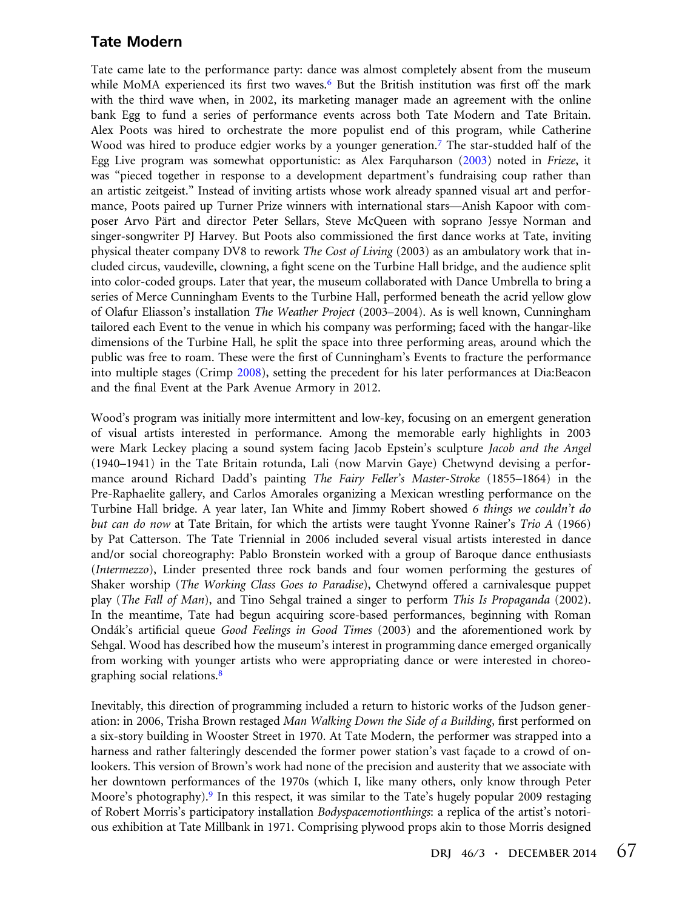#### Tate Modern

Tate came late to the performance party: dance was almost completely absent from the museum while MoMA experienced its first two waves.<sup>6</sup> But the British institution was first off the mark with the third wave when, in 2002, its marketing manager made an agreement with the online bank Egg to fund a series of performance events across both Tate Modern and Tate Britain. Alex Poots was hired to orchestrate the more populist end of this program, while Catherine Wood was hired to produce edgier works by a younger generation.<sup>7</sup> The star-studded half of the Egg Live program was somewhat opportunistic: as Alex Farquharson (2003) noted in Frieze, it was "pieced together in response to a development department's fundraising coup rather than an artistic zeitgeist." Instead of inviting artists whose work already spanned visual art and performance, Poots paired up Turner Prize winners with international stars—Anish Kapoor with composer Arvo Pärt and director Peter Sellars, Steve McQueen with soprano Jessye Norman and singer-songwriter PJ Harvey. But Poots also commissioned the first dance works at Tate, inviting physical theater company DV8 to rework *The Cost of Living* (2003) as an ambulatory work that included circus, vaudeville, clowning, a fight scene on the Turbine Hall bridge, and the audience split into color-coded groups. Later that year, the museum collaborated with Dance Umbrella to bring a series of Merce Cunningham Events to the Turbine Hall, performed beneath the acrid yellow glow of Olafur Eliasson's installation The Weather Project (2003–2004). As is well known, Cunningham tailored each Event to the venue in which his company was performing; faced with the hangar-like dimensions of the Turbine Hall, he split the space into three performing areas, around which the public was free to roam. These were the first of Cunningham's Events to fracture the performance into multiple stages (Crimp 2008), setting the precedent for his later performances at Dia:Beacon and the final Event at the Park Avenue Armory in 2012.

Wood's program was initially more intermittent and low-key, focusing on an emergent generation of visual artists interested in performance. Among the memorable early highlights in 2003 were Mark Leckey placing a sound system facing Jacob Epstein's sculpture Jacob and the Angel (1940–1941) in the Tate Britain rotunda, Lali (now Marvin Gaye) Chetwynd devising a performance around Richard Dadd's painting The Fairy Feller's Master-Stroke (1855–1864) in the Pre-Raphaelite gallery, and Carlos Amorales organizing a Mexican wrestling performance on the Turbine Hall bridge. A year later, Ian White and Jimmy Robert showed 6 things we couldn't do but can do now at Tate Britain, for which the artists were taught Yvonne Rainer's Trio A (1966) by Pat Catterson. The Tate Triennial in 2006 included several visual artists interested in dance and/or social choreography: Pablo Bronstein worked with a group of Baroque dance enthusiasts (Intermezzo), Linder presented three rock bands and four women performing the gestures of Shaker worship (The Working Class Goes to Paradise), Chetwynd offered a carnivalesque puppet play (The Fall of Man), and Tino Sehgal trained a singer to perform This Is Propaganda (2002). In the meantime, Tate had begun acquiring score-based performances, beginning with Roman Ondák's artificial queue Good Feelings in Good Times (2003) and the aforementioned work by Sehgal. Wood has described how the museum's interest in programming dance emerged organically from working with younger artists who were appropriating dance or were interested in choreographing social relations.<sup>8</sup>

Inevitably, this direction of programming included a return to historic works of the Judson generation: in 2006, Trisha Brown restaged Man Walking Down the Side of a Building, first performed on a six-story building in Wooster Street in 1970. At Tate Modern, the performer was strapped into a harness and rather falteringly descended the former power station's vast façade to a crowd of onlookers. This version of Brown's work had none of the precision and austerity that we associate with her downtown performances of the 1970s (which I, like many others, only know through Peter Moore's photography).<sup>9</sup> In this respect, it was similar to the Tate's hugely popular 2009 restaging of Robert Morris's participatory installation Bodyspacemotionthings: a replica of the artist's notorious exhibition at Tate Millbank in 1971. Comprising plywood props akin to those Morris designed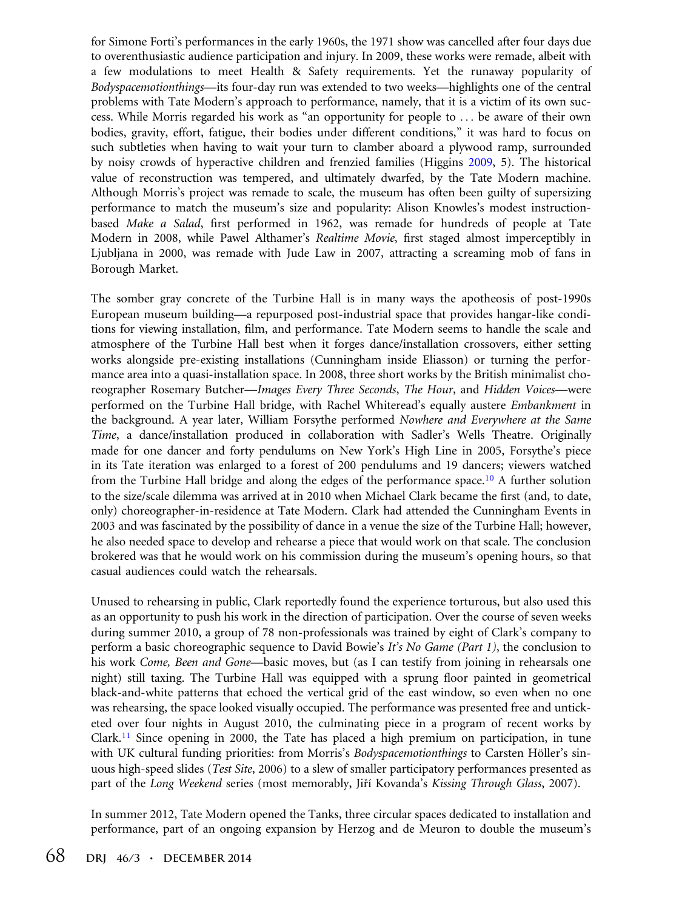for Simone Forti's performances in the early 1960s, the 1971 show was cancelled after four days due to overenthusiastic audience participation and injury. In 2009, these works were remade, albeit with a few modulations to meet Health & Safety requirements. Yet the runaway popularity of Bodyspacemotionthings—its four-day run was extended to two weeks—highlights one of the central problems with Tate Modern's approach to performance, namely, that it is a victim of its own success. While Morris regarded his work as "an opportunity for people to ... be aware of their own bodies, gravity, effort, fatigue, their bodies under different conditions," it was hard to focus on such subtleties when having to wait your turn to clamber aboard a plywood ramp, surrounded by noisy crowds of hyperactive children and frenzied families (Higgins 2009, 5). The historical value of reconstruction was tempered, and ultimately dwarfed, by the Tate Modern machine. Although Morris's project was remade to scale, the museum has often been guilty of supersizing performance to match the museum's size and popularity: Alison Knowles's modest instructionbased Make a Salad, first performed in 1962, was remade for hundreds of people at Tate Modern in 2008, while Pawel Althamer's Realtime Movie, first staged almost imperceptibly in Ljubljana in 2000, was remade with Jude Law in 2007, attracting a screaming mob of fans in Borough Market.

The somber gray concrete of the Turbine Hall is in many ways the apotheosis of post-1990s European museum building—a repurposed post-industrial space that provides hangar-like conditions for viewing installation, film, and performance. Tate Modern seems to handle the scale and atmosphere of the Turbine Hall best when it forges dance/installation crossovers, either setting works alongside pre-existing installations (Cunningham inside Eliasson) or turning the performance area into a quasi-installation space. In 2008, three short works by the British minimalist choreographer Rosemary Butcher—Images Every Three Seconds, The Hour, and Hidden Voices—were performed on the Turbine Hall bridge, with Rachel Whiteread's equally austere Embankment in the background. A year later, William Forsythe performed Nowhere and Everywhere at the Same Time, a dance/installation produced in collaboration with Sadler's Wells Theatre. Originally made for one dancer and forty pendulums on New York's High Line in 2005, Forsythe's piece in its Tate iteration was enlarged to a forest of 200 pendulums and 19 dancers; viewers watched from the Turbine Hall bridge and along the edges of the performance space.10 A further solution to the size/scale dilemma was arrived at in 2010 when Michael Clark became the first (and, to date, only) choreographer-in-residence at Tate Modern. Clark had attended the Cunningham Events in 2003 and was fascinated by the possibility of dance in a venue the size of the Turbine Hall; however, he also needed space to develop and rehearse a piece that would work on that scale. The conclusion brokered was that he would work on his commission during the museum's opening hours, so that casual audiences could watch the rehearsals.

Unused to rehearsing in public, Clark reportedly found the experience torturous, but also used this as an opportunity to push his work in the direction of participation. Over the course of seven weeks during summer 2010, a group of 78 non-professionals was trained by eight of Clark's company to perform a basic choreographic sequence to David Bowie's It's No Game (Part 1), the conclusion to his work *Come, Been and Gone*—basic moves, but (as I can testify from joining in rehearsals one night) still taxing. The Turbine Hall was equipped with a sprung floor painted in geometrical black-and-white patterns that echoed the vertical grid of the east window, so even when no one was rehearsing, the space looked visually occupied. The performance was presented free and unticketed over four nights in August 2010, the culminating piece in a program of recent works by Clark.<sup>11</sup> Since opening in 2000, the Tate has placed a high premium on participation, in tune with UK cultural funding priorities: from Morris's Bodyspacemotionthings to Carsten Höller's sinuous high-speed slides (*Test Site*, 2006) to a slew of smaller participatory performances presented as part of the Long Weekend series (most memorably, Jiří Kovanda's Kissing Through Glass, 2007).

In summer 2012, Tate Modern opened the Tanks, three circular spaces dedicated to installation and performance, part of an ongoing expansion by Herzog and de Meuron to double the museum's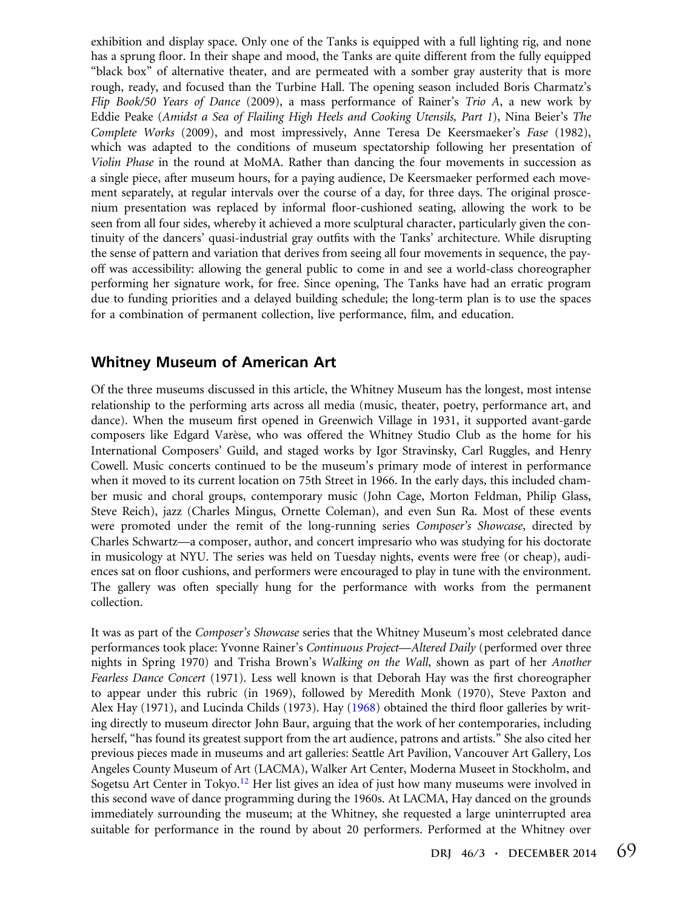exhibition and display space. Only one of the Tanks is equipped with a full lighting rig, and none has a sprung floor. In their shape and mood, the Tanks are quite different from the fully equipped "black box" of alternative theater, and are permeated with a somber gray austerity that is more rough, ready, and focused than the Turbine Hall. The opening season included Boris Charmatz's Flip Book/50 Years of Dance (2009), a mass performance of Rainer's Trio A, a new work by Eddie Peake (Amidst a Sea of Flailing High Heels and Cooking Utensils, Part 1), Nina Beier's The Complete Works (2009), and most impressively, Anne Teresa De Keersmaeker's Fase (1982), which was adapted to the conditions of museum spectatorship following her presentation of Violin Phase in the round at MoMA. Rather than dancing the four movements in succession as a single piece, after museum hours, for a paying audience, De Keersmaeker performed each movement separately, at regular intervals over the course of a day, for three days. The original proscenium presentation was replaced by informal floor-cushioned seating, allowing the work to be seen from all four sides, whereby it achieved a more sculptural character, particularly given the continuity of the dancers' quasi-industrial gray outfits with the Tanks' architecture. While disrupting the sense of pattern and variation that derives from seeing all four movements in sequence, the payoff was accessibility: allowing the general public to come in and see a world-class choreographer performing her signature work, for free. Since opening, The Tanks have had an erratic program due to funding priorities and a delayed building schedule; the long-term plan is to use the spaces for a combination of permanent collection, live performance, film, and education.

#### Whitney Museum of American Art

Of the three museums discussed in this article, the Whitney Museum has the longest, most intense relationship to the performing arts across all media (music, theater, poetry, performance art, and dance). When the museum first opened in Greenwich Village in 1931, it supported avant-garde composers like Edgard Varèse, who was offered the Whitney Studio Club as the home for his International Composers' Guild, and staged works by Igor Stravinsky, Carl Ruggles, and Henry Cowell. Music concerts continued to be the museum's primary mode of interest in performance when it moved to its current location on 75th Street in 1966. In the early days, this included chamber music and choral groups, contemporary music (John Cage, Morton Feldman, Philip Glass, Steve Reich), jazz (Charles Mingus, Ornette Coleman), and even Sun Ra. Most of these events were promoted under the remit of the long-running series Composer's Showcase, directed by Charles Schwartz—a composer, author, and concert impresario who was studying for his doctorate in musicology at NYU. The series was held on Tuesday nights, events were free (or cheap), audiences sat on floor cushions, and performers were encouraged to play in tune with the environment. The gallery was often specially hung for the performance with works from the permanent collection.

It was as part of the Composer's Showcase series that the Whitney Museum's most celebrated dance performances took place: Yvonne Rainer's Continuous Project—Altered Daily (performed over three nights in Spring 1970) and Trisha Brown's Walking on the Wall, shown as part of her Another Fearless Dance Concert (1971). Less well known is that Deborah Hay was the first choreographer to appear under this rubric (in 1969), followed by Meredith Monk (1970), Steve Paxton and Alex Hay (1971), and Lucinda Childs (1973). Hay (1968) obtained the third floor galleries by writing directly to museum director John Baur, arguing that the work of her contemporaries, including herself, "has found its greatest support from the art audience, patrons and artists." She also cited her previous pieces made in museums and art galleries: Seattle Art Pavilion, Vancouver Art Gallery, Los Angeles County Museum of Art (LACMA), Walker Art Center, Moderna Museet in Stockholm, and Sogetsu Art Center in Tokyo.<sup>12</sup> Her list gives an idea of just how many museums were involved in this second wave of dance programming during the 1960s. At LACMA, Hay danced on the grounds immediately surrounding the museum; at the Whitney, she requested a large uninterrupted area suitable for performance in the round by about 20 performers. Performed at the Whitney over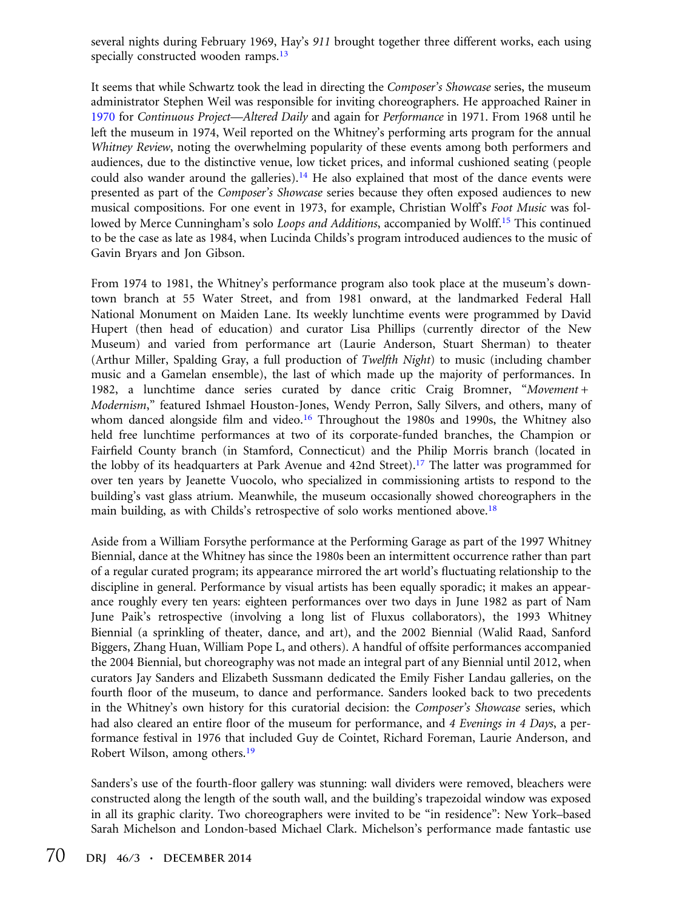several nights during February 1969, Hay's 911 brought together three different works, each using specially constructed wooden ramps.<sup>13</sup>

It seems that while Schwartz took the lead in directing the Composer's Showcase series, the museum administrator Stephen Weil was responsible for inviting choreographers. He approached Rainer in 1970 for Continuous Project—Altered Daily and again for Performance in 1971. From 1968 until he left the museum in 1974, Weil reported on the Whitney's performing arts program for the annual Whitney Review, noting the overwhelming popularity of these events among both performers and audiences, due to the distinctive venue, low ticket prices, and informal cushioned seating (people could also wander around the galleries).<sup>14</sup> He also explained that most of the dance events were presented as part of the *Composer's Showcase* series because they often exposed audiences to new musical compositions. For one event in 1973, for example, Christian Wolff's Foot Music was followed by Merce Cunningham's solo *Loops and Additions*, accompanied by Wolff.<sup>15</sup> This continued to be the case as late as 1984, when Lucinda Childs's program introduced audiences to the music of Gavin Bryars and Jon Gibson.

From 1974 to 1981, the Whitney's performance program also took place at the museum's downtown branch at 55 Water Street, and from 1981 onward, at the landmarked Federal Hall National Monument on Maiden Lane. Its weekly lunchtime events were programmed by David Hupert (then head of education) and curator Lisa Phillips (currently director of the New Museum) and varied from performance art (Laurie Anderson, Stuart Sherman) to theater (Arthur Miller, Spalding Gray, a full production of Twelfth Night) to music (including chamber music and a Gamelan ensemble), the last of which made up the majority of performances. In 1982, a lunchtime dance series curated by dance critic Craig Bromner, "Movement + Modernism," featured Ishmael Houston-Jones, Wendy Perron, Sally Silvers, and others, many of whom danced alongside film and video.<sup>16</sup> Throughout the 1980s and 1990s, the Whitney also held free lunchtime performances at two of its corporate-funded branches, the Champion or Fairfield County branch (in Stamford, Connecticut) and the Philip Morris branch (located in the lobby of its headquarters at Park Avenue and  $42nd$  Street).<sup>17</sup> The latter was programmed for over ten years by Jeanette Vuocolo, who specialized in commissioning artists to respond to the building's vast glass atrium. Meanwhile, the museum occasionally showed choreographers in the main building, as with Childs's retrospective of solo works mentioned above.<sup>18</sup>

Aside from a William Forsythe performance at the Performing Garage as part of the 1997 Whitney Biennial, dance at the Whitney has since the 1980s been an intermittent occurrence rather than part of a regular curated program; its appearance mirrored the art world's fluctuating relationship to the discipline in general. Performance by visual artists has been equally sporadic; it makes an appearance roughly every ten years: eighteen performances over two days in June 1982 as part of Nam June Paik's retrospective (involving a long list of Fluxus collaborators), the 1993 Whitney Biennial (a sprinkling of theater, dance, and art), and the 2002 Biennial (Walid Raad, Sanford Biggers, Zhang Huan, William Pope L, and others). A handful of offsite performances accompanied the 2004 Biennial, but choreography was not made an integral part of any Biennial until 2012, when curators Jay Sanders and Elizabeth Sussmann dedicated the Emily Fisher Landau galleries, on the fourth floor of the museum, to dance and performance. Sanders looked back to two precedents in the Whitney's own history for this curatorial decision: the Composer's Showcase series, which had also cleared an entire floor of the museum for performance, and 4 Evenings in 4 Days, a performance festival in 1976 that included Guy de Cointet, Richard Foreman, Laurie Anderson, and Robert Wilson, among others.19

Sanders's use of the fourth-floor gallery was stunning: wall dividers were removed, bleachers were constructed along the length of the south wall, and the building's trapezoidal window was exposed in all its graphic clarity. Two choreographers were invited to be "in residence": New York–based Sarah Michelson and London-based Michael Clark. Michelson's performance made fantastic use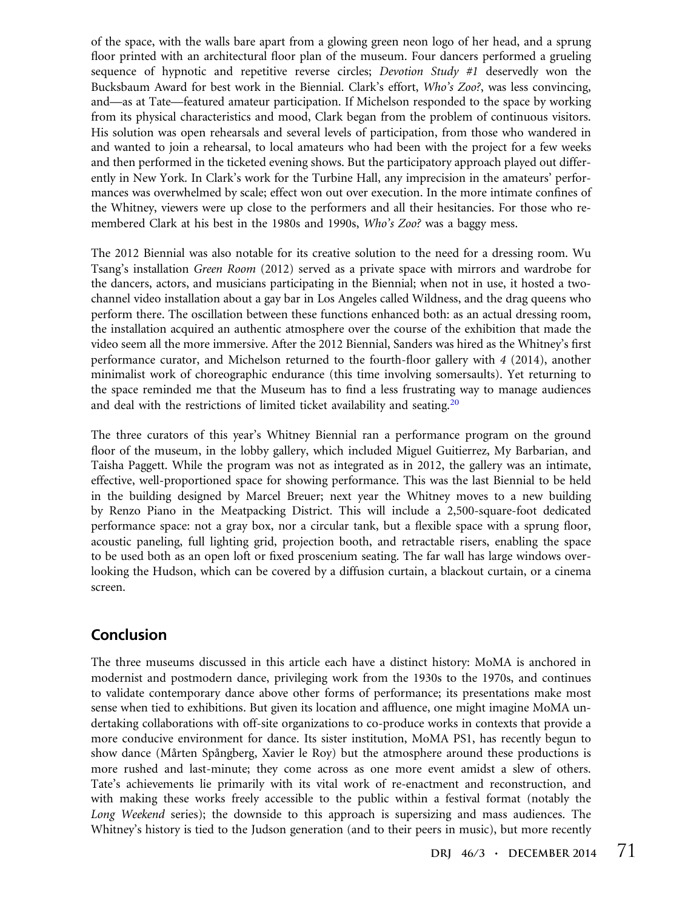of the space, with the walls bare apart from a glowing green neon logo of her head, and a sprung floor printed with an architectural floor plan of the museum. Four dancers performed a grueling sequence of hypnotic and repetitive reverse circles; *Devotion Study #1* deservedly won the Bucksbaum Award for best work in the Biennial. Clark's effort, Who's Zoo?, was less convincing, and—as at Tate—featured amateur participation. If Michelson responded to the space by working from its physical characteristics and mood, Clark began from the problem of continuous visitors. His solution was open rehearsals and several levels of participation, from those who wandered in and wanted to join a rehearsal, to local amateurs who had been with the project for a few weeks and then performed in the ticketed evening shows. But the participatory approach played out differently in New York. In Clark's work for the Turbine Hall, any imprecision in the amateurs' performances was overwhelmed by scale; effect won out over execution. In the more intimate confines of the Whitney, viewers were up close to the performers and all their hesitancies. For those who remembered Clark at his best in the 1980s and 1990s, Who's Zoo? was a baggy mess.

The 2012 Biennial was also notable for its creative solution to the need for a dressing room. Wu Tsang's installation Green Room (2012) served as a private space with mirrors and wardrobe for the dancers, actors, and musicians participating in the Biennial; when not in use, it hosted a twochannel video installation about a gay bar in Los Angeles called Wildness, and the drag queens who perform there. The oscillation between these functions enhanced both: as an actual dressing room, the installation acquired an authentic atmosphere over the course of the exhibition that made the video seem all the more immersive. After the 2012 Biennial, Sanders was hired as the Whitney's first performance curator, and Michelson returned to the fourth-floor gallery with 4 (2014), another minimalist work of choreographic endurance (this time involving somersaults). Yet returning to the space reminded me that the Museum has to find a less frustrating way to manage audiences and deal with the restrictions of limited ticket availability and seating.<sup>20</sup>

The three curators of this year's Whitney Biennial ran a performance program on the ground floor of the museum, in the lobby gallery, which included Miguel Guitierrez, My Barbarian, and Taisha Paggett. While the program was not as integrated as in 2012, the gallery was an intimate, effective, well-proportioned space for showing performance. This was the last Biennial to be held in the building designed by Marcel Breuer; next year the Whitney moves to a new building by Renzo Piano in the Meatpacking District. This will include a 2,500-square-foot dedicated performance space: not a gray box, nor a circular tank, but a flexible space with a sprung floor, acoustic paneling, full lighting grid, projection booth, and retractable risers, enabling the space to be used both as an open loft or fixed proscenium seating. The far wall has large windows overlooking the Hudson, which can be covered by a diffusion curtain, a blackout curtain, or a cinema screen.

#### Conclusion

The three museums discussed in this article each have a distinct history: MoMA is anchored in modernist and postmodern dance, privileging work from the 1930s to the 1970s, and continues to validate contemporary dance above other forms of performance; its presentations make most sense when tied to exhibitions. But given its location and affluence, one might imagine MoMA undertaking collaborations with off-site organizations to co-produce works in contexts that provide a more conducive environment for dance. Its sister institution, MoMA PS1, has recently begun to show dance (Mårten Spångberg, Xavier le Roy) but the atmosphere around these productions is more rushed and last-minute; they come across as one more event amidst a slew of others. Tate's achievements lie primarily with its vital work of re-enactment and reconstruction, and with making these works freely accessible to the public within a festival format (notably the Long Weekend series); the downside to this approach is supersizing and mass audiences. The Whitney's history is tied to the Judson generation (and to their peers in music), but more recently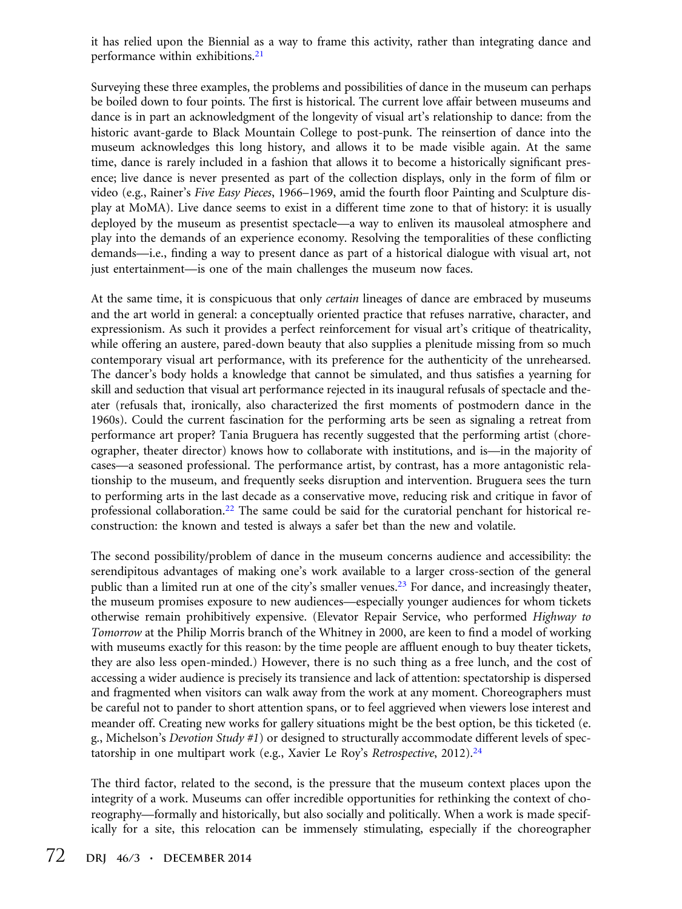it has relied upon the Biennial as a way to frame this activity, rather than integrating dance and performance within exhibitions.<sup>21</sup>

Surveying these three examples, the problems and possibilities of dance in the museum can perhaps be boiled down to four points. The first is historical. The current love affair between museums and dance is in part an acknowledgment of the longevity of visual art's relationship to dance: from the historic avant-garde to Black Mountain College to post-punk. The reinsertion of dance into the museum acknowledges this long history, and allows it to be made visible again. At the same time, dance is rarely included in a fashion that allows it to become a historically significant presence; live dance is never presented as part of the collection displays, only in the form of film or video (e.g., Rainer's Five Easy Pieces, 1966–1969, amid the fourth floor Painting and Sculpture display at MoMA). Live dance seems to exist in a different time zone to that of history: it is usually deployed by the museum as presentist spectacle—a way to enliven its mausoleal atmosphere and play into the demands of an experience economy. Resolving the temporalities of these conflicting demands—i.e., finding a way to present dance as part of a historical dialogue with visual art, not just entertainment—is one of the main challenges the museum now faces.

At the same time, it is conspicuous that only *certain* lineages of dance are embraced by museums and the art world in general: a conceptually oriented practice that refuses narrative, character, and expressionism. As such it provides a perfect reinforcement for visual art's critique of theatricality, while offering an austere, pared-down beauty that also supplies a plenitude missing from so much contemporary visual art performance, with its preference for the authenticity of the unrehearsed. The dancer's body holds a knowledge that cannot be simulated, and thus satisfies a yearning for skill and seduction that visual art performance rejected in its inaugural refusals of spectacle and theater (refusals that, ironically, also characterized the first moments of postmodern dance in the 1960s). Could the current fascination for the performing arts be seen as signaling a retreat from performance art proper? Tania Bruguera has recently suggested that the performing artist (choreographer, theater director) knows how to collaborate with institutions, and is—in the majority of cases—a seasoned professional. The performance artist, by contrast, has a more antagonistic relationship to the museum, and frequently seeks disruption and intervention. Bruguera sees the turn to performing arts in the last decade as a conservative move, reducing risk and critique in favor of professional collaboration.22 The same could be said for the curatorial penchant for historical reconstruction: the known and tested is always a safer bet than the new and volatile.

The second possibility/problem of dance in the museum concerns audience and accessibility: the serendipitous advantages of making one's work available to a larger cross-section of the general public than a limited run at one of the city's smaller venues.<sup>23</sup> For dance, and increasingly theater, the museum promises exposure to new audiences—especially younger audiences for whom tickets otherwise remain prohibitively expensive. (Elevator Repair Service, who performed Highway to Tomorrow at the Philip Morris branch of the Whitney in 2000, are keen to find a model of working with museums exactly for this reason: by the time people are affluent enough to buy theater tickets, they are also less open-minded.) However, there is no such thing as a free lunch, and the cost of accessing a wider audience is precisely its transience and lack of attention: spectatorship is dispersed and fragmented when visitors can walk away from the work at any moment. Choreographers must be careful not to pander to short attention spans, or to feel aggrieved when viewers lose interest and meander off. Creating new works for gallery situations might be the best option, be this ticketed (e. g., Michelson's Devotion Study #1) or designed to structurally accommodate different levels of spectatorship in one multipart work (e.g., Xavier Le Roy's Retrospective, 2012).<sup>24</sup>

The third factor, related to the second, is the pressure that the museum context places upon the integrity of a work. Museums can offer incredible opportunities for rethinking the context of choreography—formally and historically, but also socially and politically. When a work is made specifically for a site, this relocation can be immensely stimulating, especially if the choreographer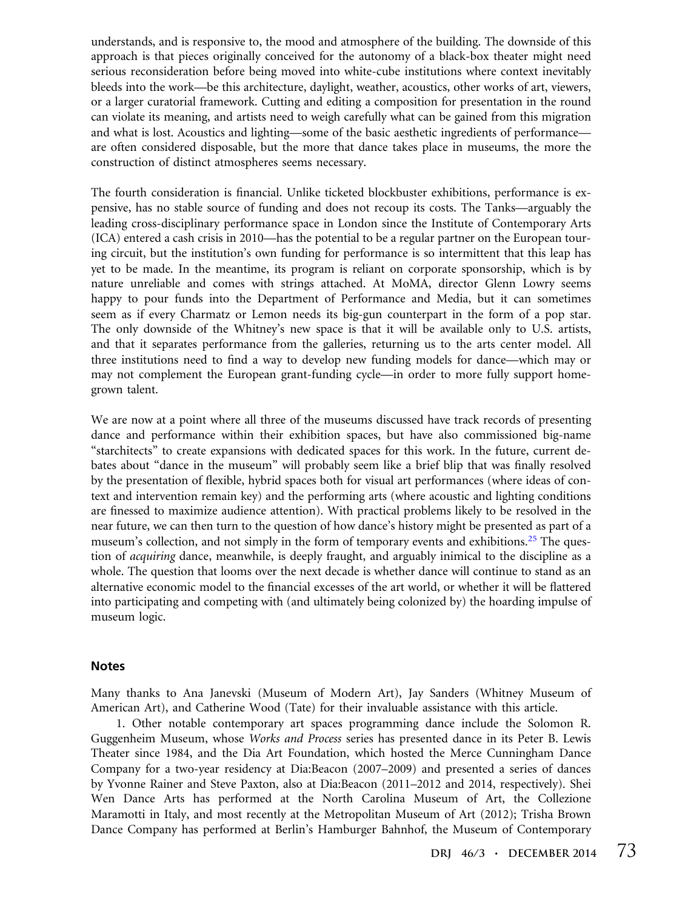understands, and is responsive to, the mood and atmosphere of the building. The downside of this approach is that pieces originally conceived for the autonomy of a black-box theater might need serious reconsideration before being moved into white-cube institutions where context inevitably bleeds into the work—be this architecture, daylight, weather, acoustics, other works of art, viewers, or a larger curatorial framework. Cutting and editing a composition for presentation in the round can violate its meaning, and artists need to weigh carefully what can be gained from this migration and what is lost. Acoustics and lighting—some of the basic aesthetic ingredients of performance are often considered disposable, but the more that dance takes place in museums, the more the construction of distinct atmospheres seems necessary.

The fourth consideration is financial. Unlike ticketed blockbuster exhibitions, performance is expensive, has no stable source of funding and does not recoup its costs. The Tanks—arguably the leading cross-disciplinary performance space in London since the Institute of Contemporary Arts (ICA) entered a cash crisis in 2010—has the potential to be a regular partner on the European touring circuit, but the institution's own funding for performance is so intermittent that this leap has yet to be made. In the meantime, its program is reliant on corporate sponsorship, which is by nature unreliable and comes with strings attached. At MoMA, director Glenn Lowry seems happy to pour funds into the Department of Performance and Media, but it can sometimes seem as if every Charmatz or Lemon needs its big-gun counterpart in the form of a pop star. The only downside of the Whitney's new space is that it will be available only to U.S. artists, and that it separates performance from the galleries, returning us to the arts center model. All three institutions need to find a way to develop new funding models for dance—which may or may not complement the European grant-funding cycle—in order to more fully support homegrown talent.

We are now at a point where all three of the museums discussed have track records of presenting dance and performance within their exhibition spaces, but have also commissioned big-name "starchitects" to create expansions with dedicated spaces for this work. In the future, current debates about "dance in the museum" will probably seem like a brief blip that was finally resolved by the presentation of flexible, hybrid spaces both for visual art performances (where ideas of context and intervention remain key) and the performing arts (where acoustic and lighting conditions are finessed to maximize audience attention). With practical problems likely to be resolved in the near future, we can then turn to the question of how dance's history might be presented as part of a museum's collection, and not simply in the form of temporary events and exhibitions.<sup>25</sup> The question of *acquiring* dance, meanwhile, is deeply fraught, and arguably inimical to the discipline as a whole. The question that looms over the next decade is whether dance will continue to stand as an alternative economic model to the financial excesses of the art world, or whether it will be flattered into participating and competing with (and ultimately being colonized by) the hoarding impulse of museum logic.

#### Notes

Many thanks to Ana Janevski (Museum of Modern Art), Jay Sanders (Whitney Museum of American Art), and Catherine Wood (Tate) for their invaluable assistance with this article.

1. Other notable contemporary art spaces programming dance include the Solomon R. Guggenheim Museum, whose Works and Process series has presented dance in its Peter B. Lewis Theater since 1984, and the Dia Art Foundation, which hosted the Merce Cunningham Dance Company for a two-year residency at Dia:Beacon (2007–2009) and presented a series of dances by Yvonne Rainer and Steve Paxton, also at Dia:Beacon (2011–2012 and 2014, respectively). Shei Wen Dance Arts has performed at the North Carolina Museum of Art, the Collezione Maramotti in Italy, and most recently at the Metropolitan Museum of Art (2012); Trisha Brown Dance Company has performed at Berlin's Hamburger Bahnhof, the Museum of Contemporary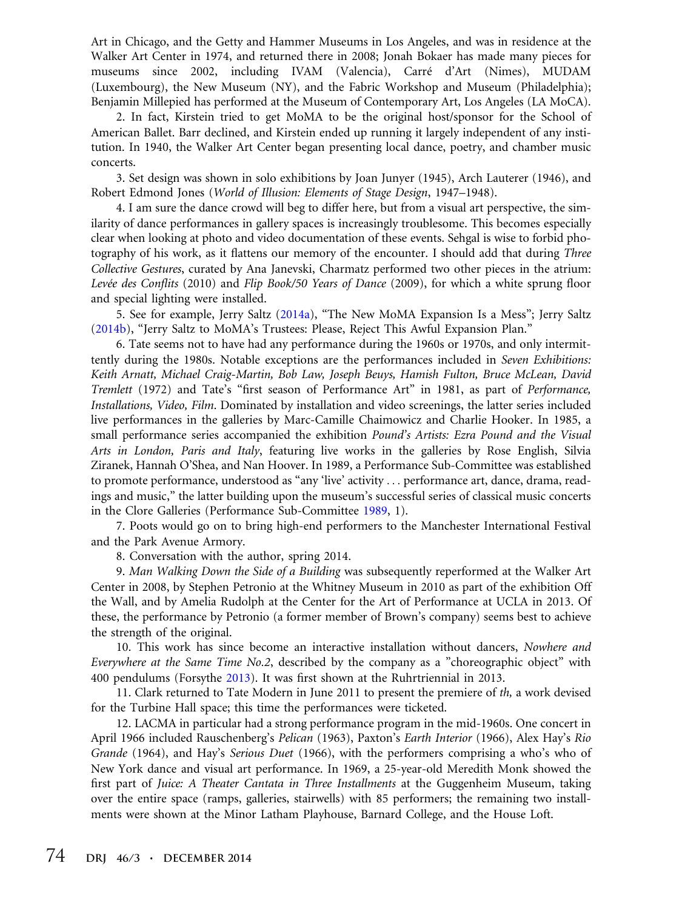Art in Chicago, and the Getty and Hammer Museums in Los Angeles, and was in residence at the Walker Art Center in 1974, and returned there in 2008; Jonah Bokaer has made many pieces for museums since 2002, including IVAM (Valencia), Carré d'Art (Nimes), MUDAM (Luxembourg), the New Museum (NY), and the Fabric Workshop and Museum (Philadelphia); Benjamin Millepied has performed at the Museum of Contemporary Art, Los Angeles (LA MoCA).

2. In fact, Kirstein tried to get MoMA to be the original host/sponsor for the School of American Ballet. Barr declined, and Kirstein ended up running it largely independent of any institution. In 1940, the Walker Art Center began presenting local dance, poetry, and chamber music concerts.

3. Set design was shown in solo exhibitions by Joan Junyer (1945), Arch Lauterer (1946), and Robert Edmond Jones (World of Illusion: Elements of Stage Design, 1947–1948).

4. I am sure the dance crowd will beg to differ here, but from a visual art perspective, the similarity of dance performances in gallery spaces is increasingly troublesome. This becomes especially clear when looking at photo and video documentation of these events. Sehgal is wise to forbid photography of his work, as it flattens our memory of the encounter. I should add that during *Three* Collective Gestures, curated by Ana Janevski, Charmatz performed two other pieces in the atrium: Levée des Conflits (2010) and Flip Book/50 Years of Dance (2009), for which a white sprung floor and special lighting were installed.

5. See for example, Jerry Saltz (2014a), "The New MoMA Expansion Is a Mess"; Jerry Saltz (2014b), "Jerry Saltz to MoMA's Trustees: Please, Reject This Awful Expansion Plan."

6. Tate seems not to have had any performance during the 1960s or 1970s, and only intermittently during the 1980s. Notable exceptions are the performances included in Seven Exhibitions: Keith Arnatt, Michael Craig-Martin, Bob Law, Joseph Beuys, Hamish Fulton, Bruce McLean, David Tremlett (1972) and Tate's "first season of Performance Art" in 1981, as part of Performance, Installations, Video, Film. Dominated by installation and video screenings, the latter series included live performances in the galleries by Marc-Camille Chaimowicz and Charlie Hooker. In 1985, a small performance series accompanied the exhibition Pound's Artists: Ezra Pound and the Visual Arts in London, Paris and Italy, featuring live works in the galleries by Rose English, Silvia Ziranek, Hannah O'Shea, and Nan Hoover. In 1989, a Performance Sub-Committee was established to promote performance, understood as "any 'live' activity ... performance art, dance, drama, readings and music," the latter building upon the museum's successful series of classical music concerts in the Clore Galleries (Performance Sub-Committee 1989, 1).

7. Poots would go on to bring high-end performers to the Manchester International Festival and the Park Avenue Armory.

8. Conversation with the author, spring 2014.

9. Man Walking Down the Side of a Building was subsequently reperformed at the Walker Art Center in 2008, by Stephen Petronio at the Whitney Museum in 2010 as part of the exhibition Off the Wall, and by Amelia Rudolph at the Center for the Art of Performance at UCLA in 2013. Of these, the performance by Petronio (a former member of Brown's company) seems best to achieve the strength of the original.

10. This work has since become an interactive installation without dancers, Nowhere and Everywhere at the Same Time No.2, described by the company as a "choreographic object" with 400 pendulums (Forsythe 2013). It was first shown at the Ruhrtriennial in 2013.

11. Clark returned to Tate Modern in June 2011 to present the premiere of th, a work devised for the Turbine Hall space; this time the performances were ticketed.

12. LACMA in particular had a strong performance program in the mid-1960s. One concert in April 1966 included Rauschenberg's Pelican (1963), Paxton's Earth Interior (1966), Alex Hay's Rio Grande (1964), and Hay's Serious Duet (1966), with the performers comprising a who's who of New York dance and visual art performance. In 1969, a 25-year-old Meredith Monk showed the first part of *Juice: A Theater Cantata in Three Installments* at the Guggenheim Museum, taking over the entire space (ramps, galleries, stairwells) with 85 performers; the remaining two installments were shown at the Minor Latham Playhouse, Barnard College, and the House Loft.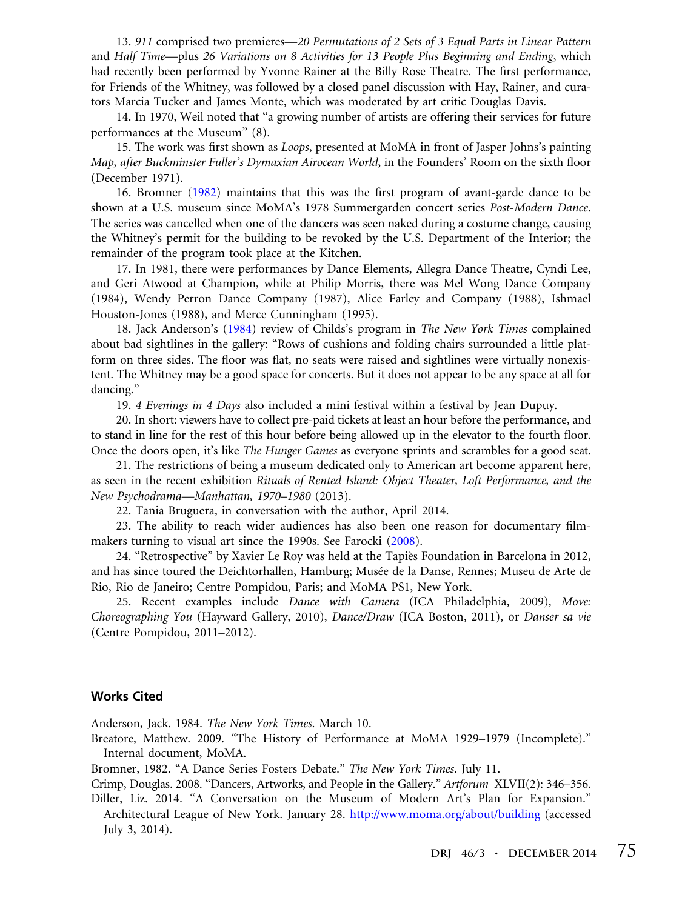13. 911 comprised two premieres—20 Permutations of 2 Sets of 3 Equal Parts in Linear Pattern and Half Time—plus 26 Variations on 8 Activities for 13 People Plus Beginning and Ending, which had recently been performed by Yvonne Rainer at the Billy Rose Theatre. The first performance, for Friends of the Whitney, was followed by a closed panel discussion with Hay, Rainer, and curators Marcia Tucker and James Monte, which was moderated by art critic Douglas Davis.

14. In 1970, Weil noted that "a growing number of artists are offering their services for future performances at the Museum" (8).

15. The work was first shown as Loops, presented at MoMA in front of Jasper Johns's painting Map, after Buckminster Fuller's Dymaxian Airocean World, in the Founders' Room on the sixth floor (December 1971).

16. Bromner (1982) maintains that this was the first program of avant-garde dance to be shown at a U.S. museum since MoMA's 1978 Summergarden concert series Post-Modern Dance. The series was cancelled when one of the dancers was seen naked during a costume change, causing the Whitney's permit for the building to be revoked by the U.S. Department of the Interior; the remainder of the program took place at the Kitchen.

17. In 1981, there were performances by Dance Elements, Allegra Dance Theatre, Cyndi Lee, and Geri Atwood at Champion, while at Philip Morris, there was Mel Wong Dance Company (1984), Wendy Perron Dance Company (1987), Alice Farley and Company (1988), Ishmael Houston-Jones (1988), and Merce Cunningham (1995).

18. Jack Anderson's (1984) review of Childs's program in The New York Times complained about bad sightlines in the gallery: "Rows of cushions and folding chairs surrounded a little platform on three sides. The floor was flat, no seats were raised and sightlines were virtually nonexistent. The Whitney may be a good space for concerts. But it does not appear to be any space at all for dancing."

19. 4 Evenings in 4 Days also included a mini festival within a festival by Jean Dupuy.

20. In short: viewers have to collect pre-paid tickets at least an hour before the performance, and to stand in line for the rest of this hour before being allowed up in the elevator to the fourth floor. Once the doors open, it's like The Hunger Games as everyone sprints and scrambles for a good seat.

21. The restrictions of being a museum dedicated only to American art become apparent here, as seen in the recent exhibition Rituals of Rented Island: Object Theater, Loft Performance, and the New Psychodrama—Manhattan, 1970–1980 (2013).

22. Tania Bruguera, in conversation with the author, April 2014.

23. The ability to reach wider audiences has also been one reason for documentary filmmakers turning to visual art since the 1990s. See Farocki (2008).

24. "Retrospective" by Xavier Le Roy was held at the Tapiès Foundation in Barcelona in 2012, and has since toured the Deichtorhallen, Hamburg; Musée de la Danse, Rennes; Museu de Arte de Rio, Rio de Janeiro; Centre Pompidou, Paris; and MoMA PS1, New York.

25. Recent examples include Dance with Camera (ICA Philadelphia, 2009), Move: Choreographing You (Hayward Gallery, 2010), Dance/Draw (ICA Boston, 2011), or Danser sa vie (Centre Pompidou, 2011–2012).

#### Works Cited

Anderson, Jack. 1984. The New York Times. March 10.

Breatore, Matthew. 2009. "The History of Performance at MoMA 1929–1979 (Incomplete)." Internal document, MoMA.

Bromner, 1982. "A Dance Series Fosters Debate." The New York Times. July 11.

Crimp, Douglas. 2008. "Dancers, Artworks, and People in the Gallery." Artforum XLVII(2): 346–356.

Diller, Liz. 2014. "A Conversation on the Museum of Modern Art's Plan for Expansion." Architectural League of New York. January 28. <http://www.moma.org/about/building> (accessed July 3, 2014).